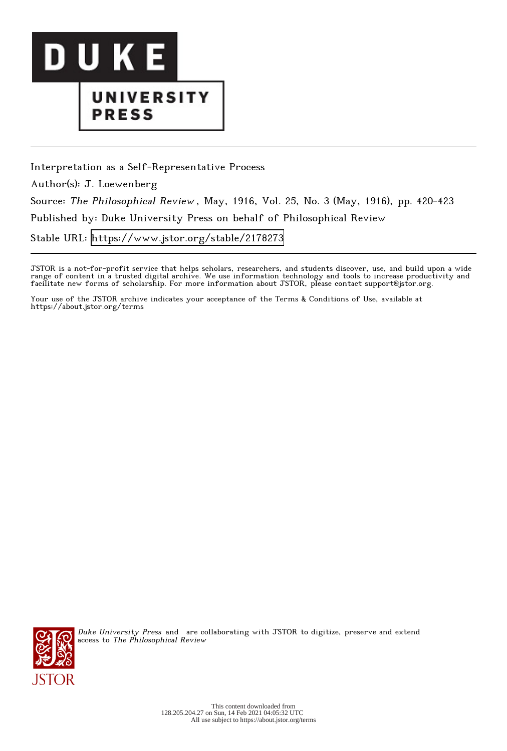

## UNIVERSITY **PRESS**

Interpretation as a Self-Representative Process Author(s): J. Loewenberg Source: The Philosophical Review , May, 1916, Vol. 25, No. 3 (May, 1916), pp. 420-423 Published by: Duke University Press on behalf of Philosophical Review Stable URL:<https://www.jstor.org/stable/2178273>

JSTOR is a not-for-profit service that helps scholars, researchers, and students discover, use, and build upon a wide range of content in a trusted digital archive. We use information technology and tools to increase productivity and facilitate new forms of scholarship. For more information about JSTOR, please contact support@jstor.org.

Your use of the JSTOR archive indicates your acceptance of the Terms & Conditions of Use, available at https://about.jstor.org/terms



Duke University Press and are collaborating with JSTOR to digitize, preserve and extend access to The Philosophical Review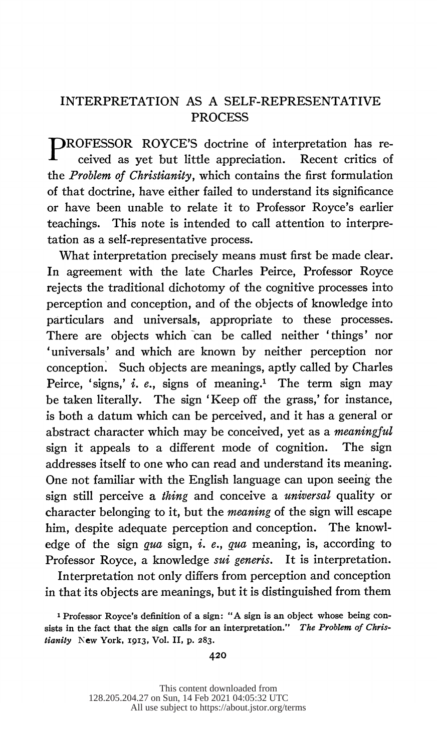## INTERPRETATION AS A SELF-REPRESENTATIVE PROCESS

 PROFESSOR ROYCE'S doctrine of interpretation has re ceived as yet but little appreciation. Recent critics of the Problem of Christianity, which contains the first formulation of that doctrine, have either failed to understand its significance or have been unable to relate it to Professor Royce's earlier teachings. This note is intended to call attention to interpre tation as a self-representative process.

 What interpretation precisely means must first be made clear. In agreement with the late Charles Peirce, Professor Royce rejects the traditional dichotomy of the cognitive processes into perception and conception, and of the objects of knowledge into particulars and universals, appropriate to these processes. There are objects which can be called neither 'things' nor 'universals' and which are known by neither perception nor conception. Such objects are meanings, aptly called by Charles Peirce, 'signs,' i. e., signs of meaning.<sup>1</sup> The term sign may be taken literally. The sign 'Keep off the grass,' for instance, is both a datum which can be perceived, and it has a general or abstract character which may be conceived, yet as a meaningful sign it appeals to a different mode of cognition. The sign addresses itself to one who can read and understand its meaning. One not familiar with the English language can upon seeing the sign still perceive a thing and conceive a universal quality or character belonging to it, but the *meaning* of the sign will escape him, despite adequate perception and conception. The knowl edge of the sign qua sign,  $i$ .  $e$ ., qua meaning, is, according to Professor Royce, a knowledge *sui generis*. It is interpretation.

 Interpretation not only differs from perception and conception in that its objects are meanings, but it is distinguished from them

 <sup>1</sup> Professor Royce's definition of a sign: "A sign is an object whose being con sists in the fact that the sign calls for an interpretation." The Problem of Chris tianity New York, 1913, Vol. II, p. 283.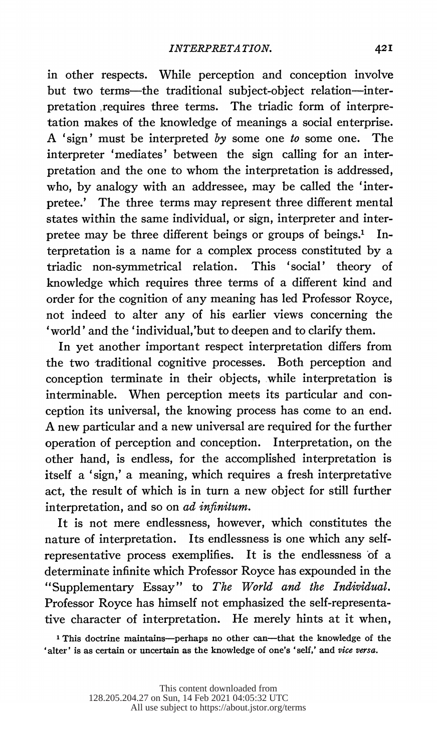in other respects. While perception and conception involve but two terms-the traditional subject-object relation-interpretation requires three terms. The triadic form of interpre tation makes of the knowledge of meanings a social enterprise. A 'sign' must be interpreted by some one to some one. The interpreter 'mediates' between the sign calling for an inter pretation and the one to whom the interpretation is addressed, who, by analogy with an addressee, may be called the 'inter pretee.' The three terms may represent three different mental states within the same individual, or sign, interpreter and inter pretee may be three different beings or groups of beings.' In terpretation is a name for a complex process constituted by a triadic non-symmetrical relation. This 'social' theory of knowledge which requires three terms of a different kind and order for the cognition of any meaning has led Professor Royce, not indeed to alter any of his earlier views concerning the 'world' and the 'individual,'but to deepen and to clarify them.

 In yet another important respect interpretation differs from the two traditional cognitive processes. Both perception and conception terminate in their objects, while interpretation is interminable. When perception meets its particular and con ception its universal, the knowing process has come to an end. A new particular and a new universal are required for the further operation of perception and conception. Interpretation, on the other hand, is endless, for the accomplished interpretation is itself a 'sign,' a meaning, which requires a fresh interpretative act, the result of which is in turn a new object for still further interpretation, and so on ad infinitum.

 It is not mere endlessness, however, which constitutes the nature of interpretation. Its endlessness is one which any self representative process exemplifies. It is the endlessness of a determinate infinite which Professor Royce has expounded in the "Supplementary Essay" to The World and the Individual. Professor Royce has himself not emphasized the self-representa tive character of interpretation. He merely hints at it when,

<sup>1</sup> This doctrine maintains-perhaps no other can-that the knowledge of the 'alter' is as certain or uncertain as the knowledge of one's 'self,' and vice versa.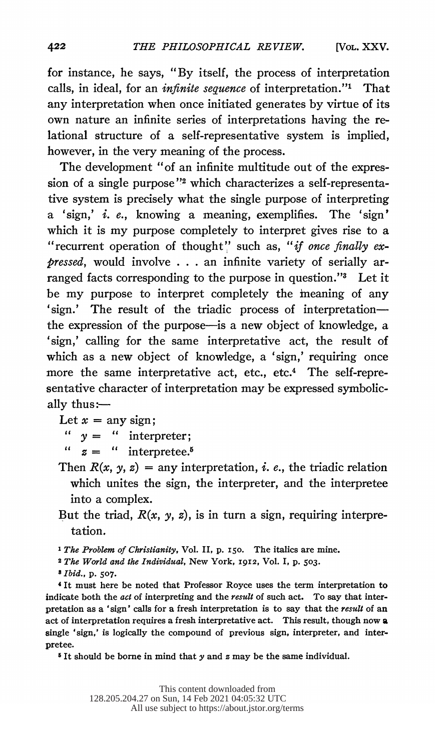for instance, he says, "By itself, the process of interpretation calls, in ideal, for an infinite sequence of interpretation."' That any interpretation when once initiated generates by virtue of its own nature an infinite series of interpretations having the re lational structure of a self-representative system is implied, however, in the very meaning of the process.

The development "of an infinite multitude out of the expression of a single purpose"<sup>2</sup> which characterizes a self-representa tive system is precisely what the single purpose of interpreting a 'sign,' i. e., knowing a meaning, exemplifies. The 'sign' which it is my purpose completely to interpret gives rise to a "recurrent operation of thought" such as, "if once finally ex pressed, would involve . . . an infinite variety of serially ar ranged facts corresponding to the purpose in question."3 Let it be my purpose to interpret completely the meaning of any 'sign.' The result of the triadic process of interpretation the expression of the purpose-is a new object of knowledge, a 'sign,' calling for the same interpretative act, the result of which as a new object of knowledge, a 'sign,' requiring once more the same interpretative act, etc., etc.<sup>4</sup> The self-repre sentative character of interpretation may be expressed symbolic ally thus: $-$ 

Let  $x = any sign;$ 

 $y =$  " interpreter;  $\alpha$ 

 $\alpha$  $z =$  " interpretee.<sup>5</sup>

- Then  $R(x, y, z) =$  any interpretation, *i. e.*, the triadic relation which unites the sign, the interpreter, and the interpretee into a complex.
- But the triad,  $R(x, y, z)$ , is in turn a sign, requiring interpretation.

<sup>1</sup> The Problem of Christianity, Vol. II, p. 150. The italics are mine.

<sup>2</sup> The World and the Individual, New York, 1912, Vol. I, p. 503.

8 Ibid., p. 507.

 4 It must here be noted that Professor Royce uses the term interpretation to indicate both the *act* of interpreting and the *result* of such act. To say that inter pretation as a 'sign' calls for a fresh interpretation is to say that the result of an act of interpretation requires a fresh interpretative act. This result, though now a single 'sign,' is logically the compound of previous sign, interpreter, and inter pretee.

 $5$  It should be borne in mind that  $y$  and  $z$  may be the same individual.